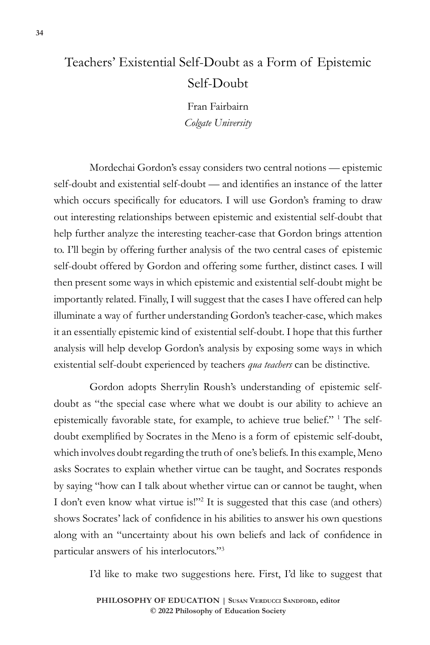## Teachers' Existential Self-Doubt as a Form of Epistemic Self-Doubt

Fran Fairbairn *Colgate University*

Mordechai Gordon's essay considers two central notions — epistemic self-doubt and existential self-doubt — and identifies an instance of the latter which occurs specifically for educators. I will use Gordon's framing to draw out interesting relationships between epistemic and existential self-doubt that help further analyze the interesting teacher-case that Gordon brings attention to. I'll begin by offering further analysis of the two central cases of epistemic self-doubt offered by Gordon and offering some further, distinct cases. I will then present some ways in which epistemic and existential self-doubt might be importantly related. Finally, I will suggest that the cases I have offered can help illuminate a way of further understanding Gordon's teacher-case, which makes it an essentially epistemic kind of existential self-doubt. I hope that this further analysis will help develop Gordon's analysis by exposing some ways in which existential self-doubt experienced by teachers *qua teachers* can be distinctive.

Gordon adopts Sherrylin Roush's understanding of epistemic selfdoubt as "the special case where what we doubt is our ability to achieve an epistemically favorable state, for example, to achieve true belief." <sup>1</sup> The selfdoubt exemplified by Socrates in the Meno is a form of epistemic self-doubt, which involves doubt regarding the truth of one's beliefs. In this example, Meno asks Socrates to explain whether virtue can be taught, and Socrates responds by saying "how can I talk about whether virtue can or cannot be taught, when I don't even know what virtue is!"<sup>2</sup> It is suggested that this case (and others) shows Socrates' lack of confidence in his abilities to answer his own questions along with an "uncertainty about his own beliefs and lack of confidence in particular answers of his interlocutors."<sup>3</sup>

I'd like to make two suggestions here. First, I'd like to suggest that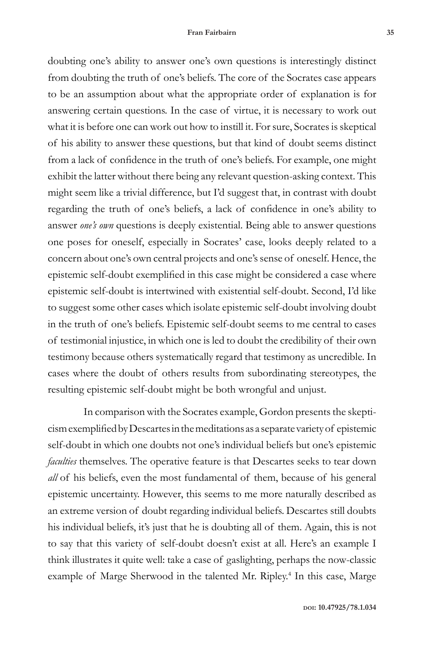doubting one's ability to answer one's own questions is interestingly distinct from doubting the truth of one's beliefs. The core of the Socrates case appears to be an assumption about what the appropriate order of explanation is for answering certain questions. In the case of virtue, it is necessary to work out what it is before one can work out how to instill it. For sure, Socrates is skeptical of his ability to answer these questions, but that kind of doubt seems distinct from a lack of confidence in the truth of one's beliefs. For example, one might exhibit the latter without there being any relevant question-asking context. This might seem like a trivial difference, but I'd suggest that, in contrast with doubt regarding the truth of one's beliefs, a lack of confidence in one's ability to answer *one's own* questions is deeply existential. Being able to answer questions one poses for oneself, especially in Socrates' case, looks deeply related to a concern about one's own central projects and one's sense of oneself. Hence, the epistemic self-doubt exemplified in this case might be considered a case where epistemic self-doubt is intertwined with existential self-doubt. Second, I'd like to suggest some other cases which isolate epistemic self-doubt involving doubt in the truth of one's beliefs. Epistemic self-doubt seems to me central to cases of testimonial injustice, in which one is led to doubt the credibility of their own testimony because others systematically regard that testimony as uncredible. In cases where the doubt of others results from subordinating stereotypes, the resulting epistemic self-doubt might be both wrongful and unjust.

In comparison with the Socrates example, Gordon presents the skepticism exemplified by Descartes in the meditations as a separate variety of epistemic self-doubt in which one doubts not one's individual beliefs but one's epistemic *faculties* themselves. The operative feature is that Descartes seeks to tear down *all* of his beliefs, even the most fundamental of them, because of his general epistemic uncertainty. However, this seems to me more naturally described as an extreme version of doubt regarding individual beliefs. Descartes still doubts his individual beliefs, it's just that he is doubting all of them. Again, this is not to say that this variety of self-doubt doesn't exist at all. Here's an example I think illustrates it quite well: take a case of gaslighting, perhaps the now-classic example of Marge Sherwood in the talented Mr. Ripley.<sup>4</sup> In this case, Marge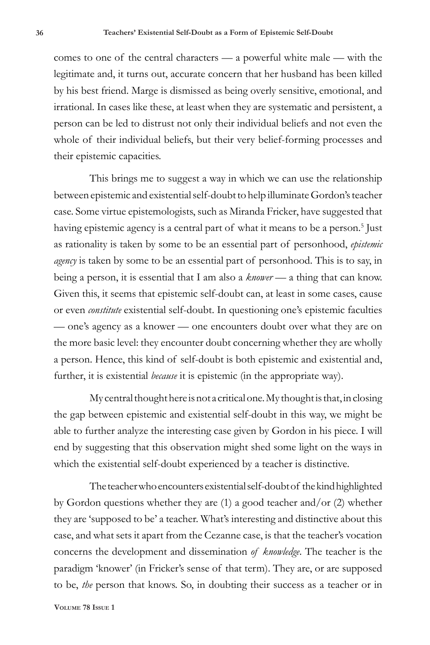comes to one of the central characters — a powerful white male — with the legitimate and, it turns out, accurate concern that her husband has been killed by his best friend. Marge is dismissed as being overly sensitive, emotional, and irrational. In cases like these, at least when they are systematic and persistent, a person can be led to distrust not only their individual beliefs and not even the whole of their individual beliefs, but their very belief-forming processes and their epistemic capacities.

This brings me to suggest a way in which we can use the relationship between epistemic and existential self-doubt to help illuminate Gordon's teacher case. Some virtue epistemologists, such as Miranda Fricker, have suggested that having epistemic agency is a central part of what it means to be a person.<sup>5</sup> Just as rationality is taken by some to be an essential part of personhood, *epistemic agency* is taken by some to be an essential part of personhood. This is to say, in being a person, it is essential that I am also a *knower* — a thing that can know. Given this, it seems that epistemic self-doubt can, at least in some cases, cause or even *constitute* existential self-doubt. In questioning one's epistemic faculties — one's agency as a knower — one encounters doubt over what they are on the more basic level: they encounter doubt concerning whether they are wholly a person. Hence, this kind of self-doubt is both epistemic and existential and, further, it is existential *because* it is epistemic (in the appropriate way).

My central thought here is not a critical one. My thought is that, in closing the gap between epistemic and existential self-doubt in this way, we might be able to further analyze the interesting case given by Gordon in his piece. I will end by suggesting that this observation might shed some light on the ways in which the existential self-doubt experienced by a teacher is distinctive.

The teacher who encounters existential self-doubt of the kind highlighted by Gordon questions whether they are (1) a good teacher and/or (2) whether they are 'supposed to be' a teacher. What's interesting and distinctive about this case, and what sets it apart from the Cezanne case, is that the teacher's vocation concerns the development and dissemination *of knowledge*. The teacher is the paradigm 'knower' (in Fricker's sense of that term). They are, or are supposed to be, *the* person that knows. So, in doubting their success as a teacher or in